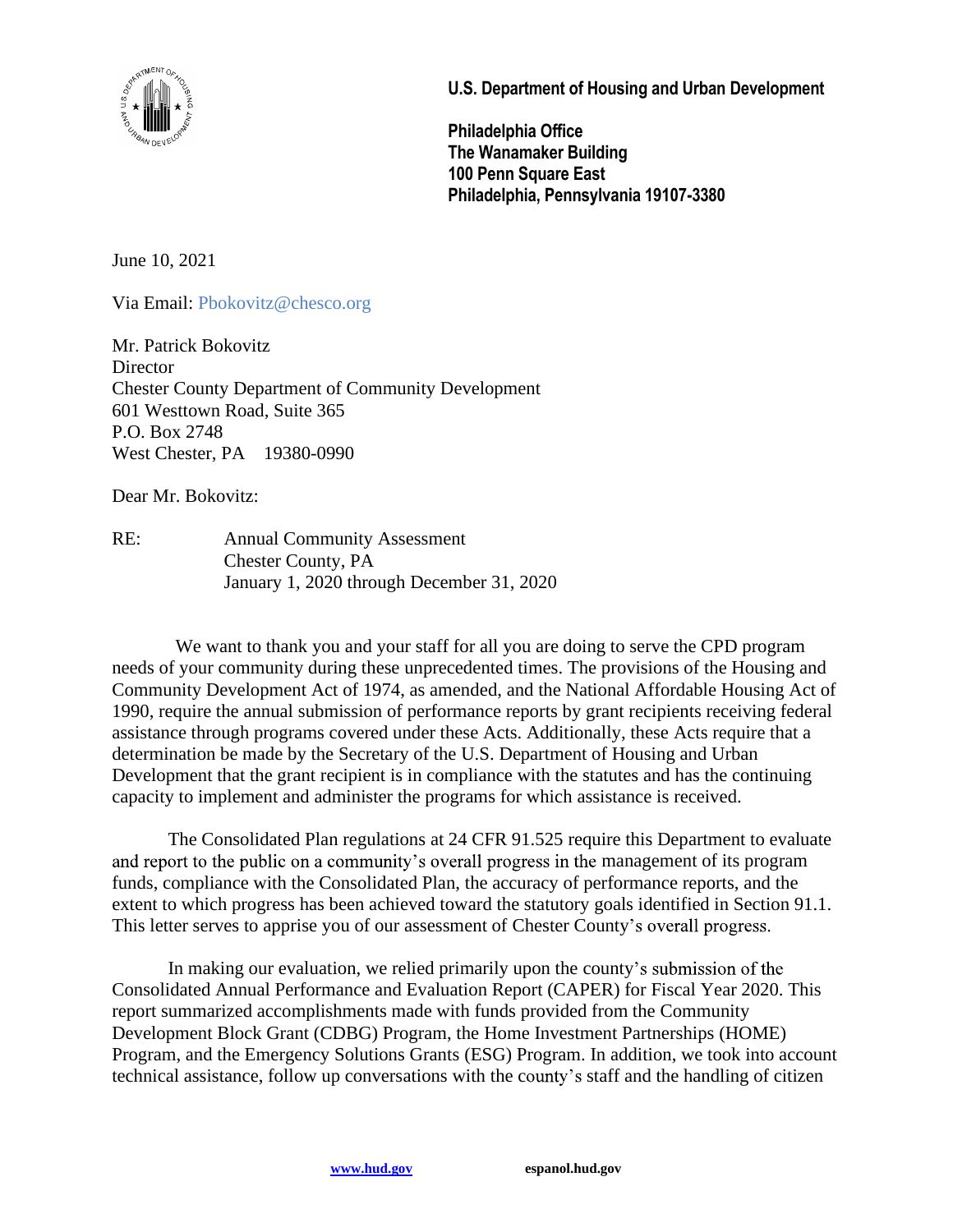

U.S. Department of Housing and Urban Development

Philadelphia Office The Wanamaker Building 100 Penn Square East Philadelphia, Pennsylvania 19107-3380

June 10, 2021

Via Email: Pbokovitz@chesco.org

Mr. Patrick Bokovitz **Director** Chester County Department of Community Development 601 Westtown Road, Suite 365 P.O. Box 2748 West Chester, PA 19380-0990

Dear Mr. Bokovitz:

RE: Annual Community Assessment Chester County, PA January 1, 2020 through December 31, 2020

 We want to thank you and your staff for all you are doing to serve the CPD program needs of your community during these unprecedented times. The provisions of the Housing and Community Development Act of 1974, as amended, and the National Affordable Housing Act of 1990, require the annual submission of performance reports by grant recipients receiving federal assistance through programs covered under these Acts. Additionally, these Acts require that a determination be made by the Secretary of the U.S. Department of Housing and Urban Development that the grant recipient is in compliance with the statutes and has the continuing capacity to implement and administer the programs for which assistance is received.

The Consolidated Plan regulations at 24 CFR 91.525 require this Department to evaluate and report to the public on a community's overall progress in the management of its program funds, compliance with the Consolidated Plan, the accuracy of performance reports, and the extent to which progress has been achieved toward the statutory goals identified in Section 91.1. This letter serves to apprise you of our assessment of Chester County's overall progress.

In making our evaluation, we relied primarily upon the county's submission of the Consolidated Annual Performance and Evaluation Report (CAPER) for Fiscal Year 2020. This report summarized accomplishments made with funds provided from the Community Development Block Grant (CDBG) Program, the Home Investment Partnerships (HOME) Program, and the Emergency Solutions Grants (ESG) Program. In addition, we took into account technical assistance, follow up conversations with the county's staff and the handling of citizen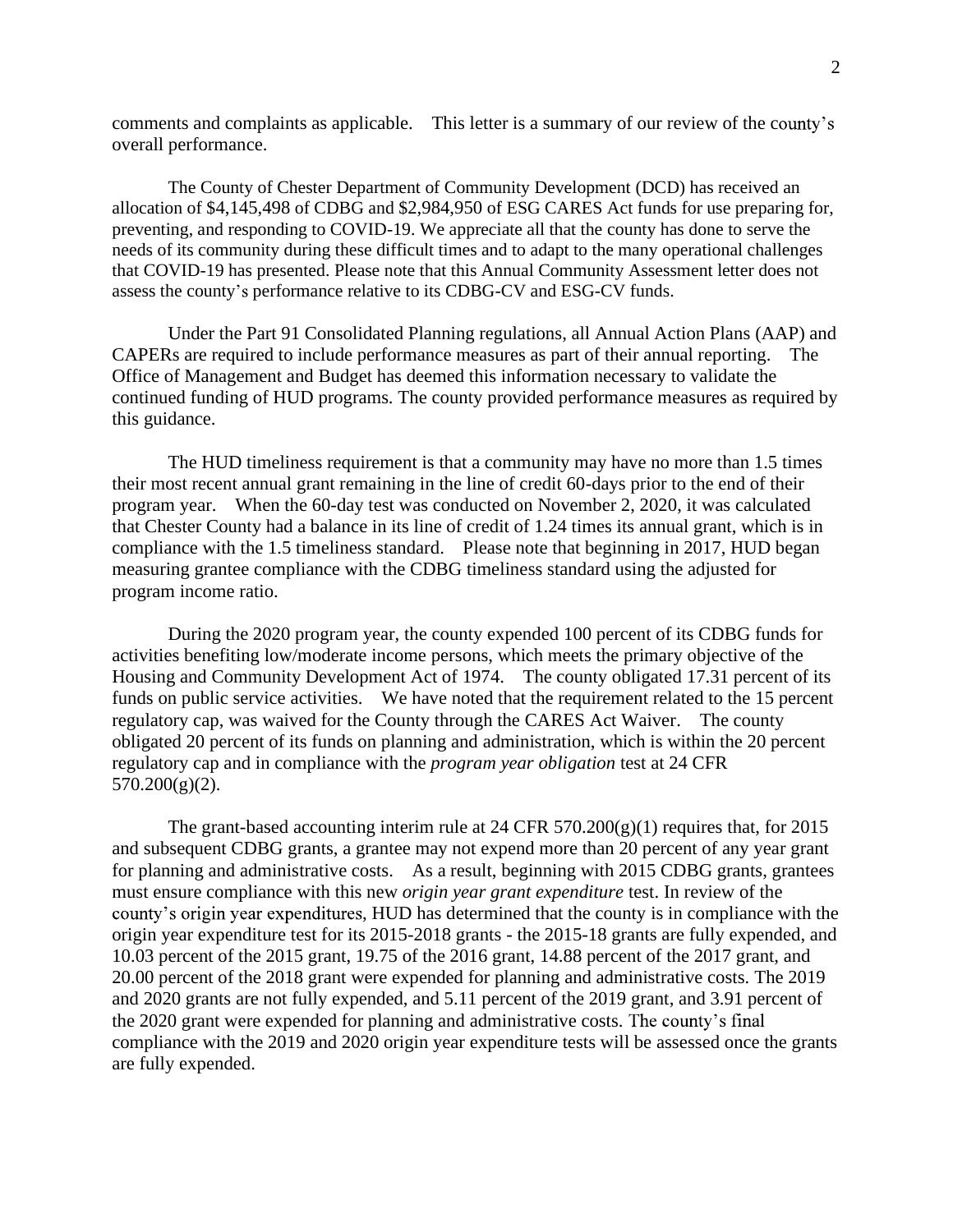comments and complaints as applicable. This letter is a summary of our review of the county's overall performance.

The County of Chester Department of Community Development (DCD) has received an allocation of \$4,145,498 of CDBG and \$2,984,950 of ESG CARES Act funds for use preparing for, preventing, and responding to COVID-19. We appreciate all that the county has done to serve the needs of its community during these difficult times and to adapt to the many operational challenges that COVID-19 has presented. Please note that this Annual Community Assessment letter does not assess the county's performance relative to its CDBG-CV and ESG-CV funds.

Under the Part 91 Consolidated Planning regulations, all Annual Action Plans (AAP) and CAPERs are required to include performance measures as part of their annual reporting. The Office of Management and Budget has deemed this information necessary to validate the continued funding of HUD programs. The county provided performance measures as required by this guidance.

The HUD timeliness requirement is that a community may have no more than 1.5 times their most recent annual grant remaining in the line of credit 60-days prior to the end of their program year. When the 60-day test was conducted on November 2, 2020, it was calculated that Chester County had a balance in its line of credit of 1.24 times its annual grant, which is in compliance with the 1.5 timeliness standard. Please note that beginning in 2017, HUD began measuring grantee compliance with the CDBG timeliness standard using the adjusted for program income ratio.

During the 2020 program year, the county expended 100 percent of its CDBG funds for activities benefiting low/moderate income persons, which meets the primary objective of the Housing and Community Development Act of 1974. The county obligated 17.31 percent of its funds on public service activities. We have noted that the requirement related to the 15 percent regulatory cap, was waived for the County through the CARES Act Waiver. The county obligated 20 percent of its funds on planning and administration, which is within the 20 percent regulatory cap and in compliance with the *program year obligation* test at 24 CFR 570.200(g)(2).

The grant-based accounting interim rule at 24 CFR  $570.200(g)(1)$  requires that, for 2015 and subsequent CDBG grants, a grantee may not expend more than 20 percent of any year grant for planning and administrative costs. As a result, beginning with 2015 CDBG grants, grantees must ensure compliance with this new *origin year grant expenditure* test. In review of the county's origin year expenditures, HUD has determined that the county is in compliance with the origin year expenditure test for its 2015-2018 grants - the 2015-18 grants are fully expended, and 10.03 percent of the 2015 grant, 19.75 of the 2016 grant, 14.88 percent of the 2017 grant, and 20.00 percent of the 2018 grant were expended for planning and administrative costs. The 2019 and 2020 grants are not fully expended, and 5.11 percent of the 2019 grant, and 3.91 percent of the 2020 grant were expended for planning and administrative costs. compliance with the 2019 and 2020 origin year expenditure tests will be assessed once the grants are fully expended.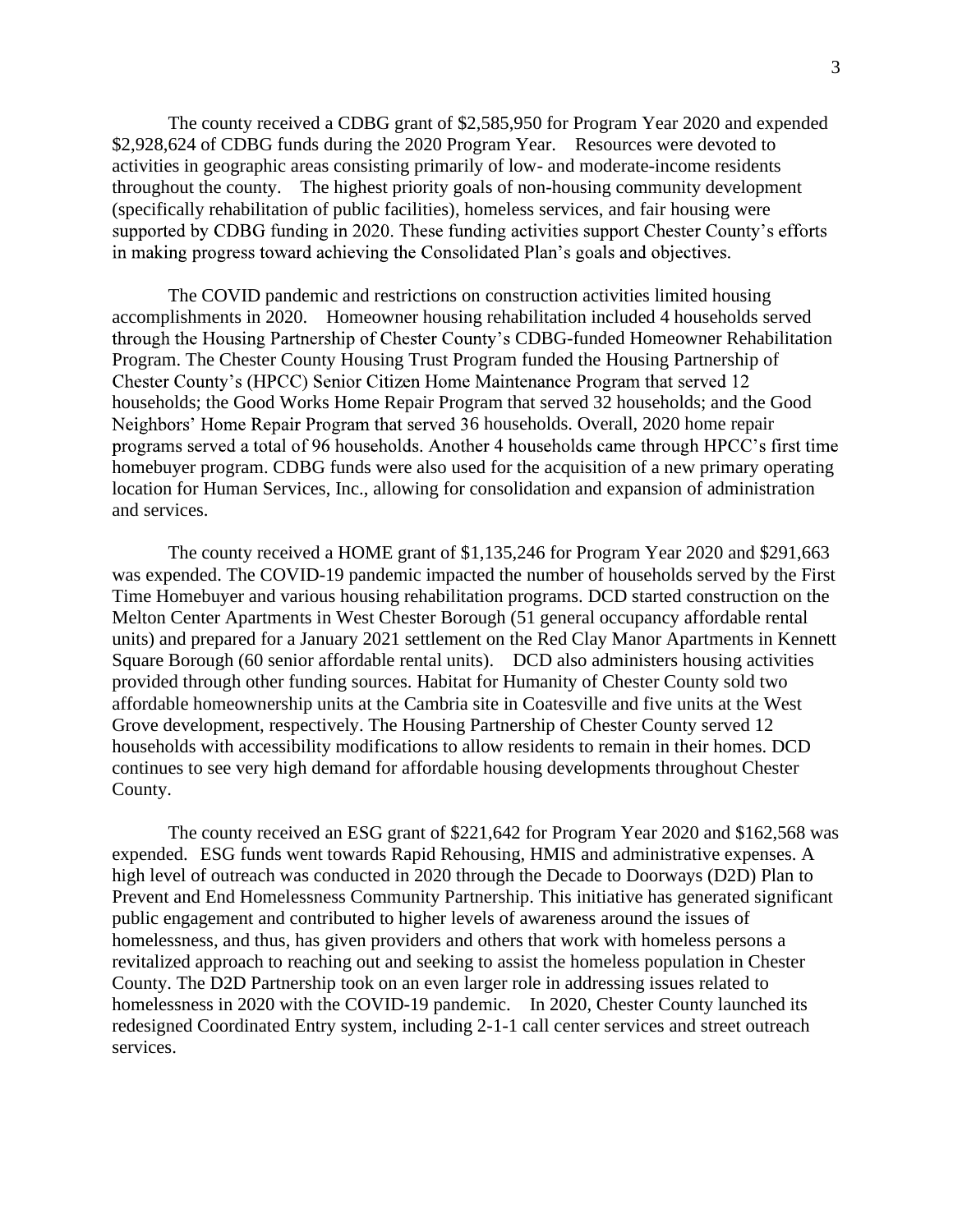The county received a CDBG grant of \$2,585,950 for Program Year 2020 and expended \$2,928,624 of CDBG funds during the 2020 Program Year. Resources were devoted to activities in geographic areas consisting primarily of low- and moderate-income residents throughout the county. The highest priority goals of non-housing community development (specifically rehabilitation of public facilities), homeless services, and fair housing were supported by CDBG funding in 2020. These funding activities support Chester County's efforts in making progress toward achieving the Consolidated Plan's goals and objectives.

The COVID pandemic and restrictions on construction activities limited housing accomplishments in 2020. Homeowner housing rehabilitation included 4 households served through the Housing Partnership of Chester County's CDBG-funded Homeowner Rehabilitation Program. The Chester County Housing Trust Program funded the Housing Partnership of Chester County's (HPCC) Senior Citizen Home Maintenance Program that served 12 households; the Good Works Home Repair Program that served 32 households; and the Good Neighbors' Home Repair Program that served 36 households. Overall, 2020 home repair programs served a total of 96 households. Another 4 households came through HPCC's first time homebuyer program. CDBG funds were also used for the acquisition of a new primary operating location for Human Services, Inc., allowing for consolidation and expansion of administration and services.

The county received a HOME grant of \$1,135,246 for Program Year 2020 and \$291,663 was expended. The COVID-19 pandemic impacted the number of households served by the First Time Homebuyer and various housing rehabilitation programs. DCD started construction on the Melton Center Apartments in West Chester Borough (51 general occupancy affordable rental units) and prepared for a January 2021 settlement on the Red Clay Manor Apartments in Kennett Square Borough (60 senior affordable rental units). DCD also administers housing activities provided through other funding sources. Habitat for Humanity of Chester County sold two affordable homeownership units at the Cambria site in Coatesville and five units at the West Grove development, respectively. The Housing Partnership of Chester County served 12 households with accessibility modifications to allow residents to remain in their homes. DCD continues to see very high demand for affordable housing developments throughout Chester County.

The county received an ESG grant of \$221,642 for Program Year 2020 and \$162,568 was expended. ESG funds went towards Rapid Rehousing, HMIS and administrative expenses. A high level of outreach was conducted in 2020 through the Decade to Doorways (D2D) Plan to Prevent and End Homelessness Community Partnership. This initiative has generated significant public engagement and contributed to higher levels of awareness around the issues of homelessness, and thus, has given providers and others that work with homeless persons a revitalized approach to reaching out and seeking to assist the homeless population in Chester County. The D2D Partnership took on an even larger role in addressing issues related to homelessness in 2020 with the COVID-19 pandemic. In 2020, Chester County launched its redesigned Coordinated Entry system, including 2-1-1 call center services and street outreach services.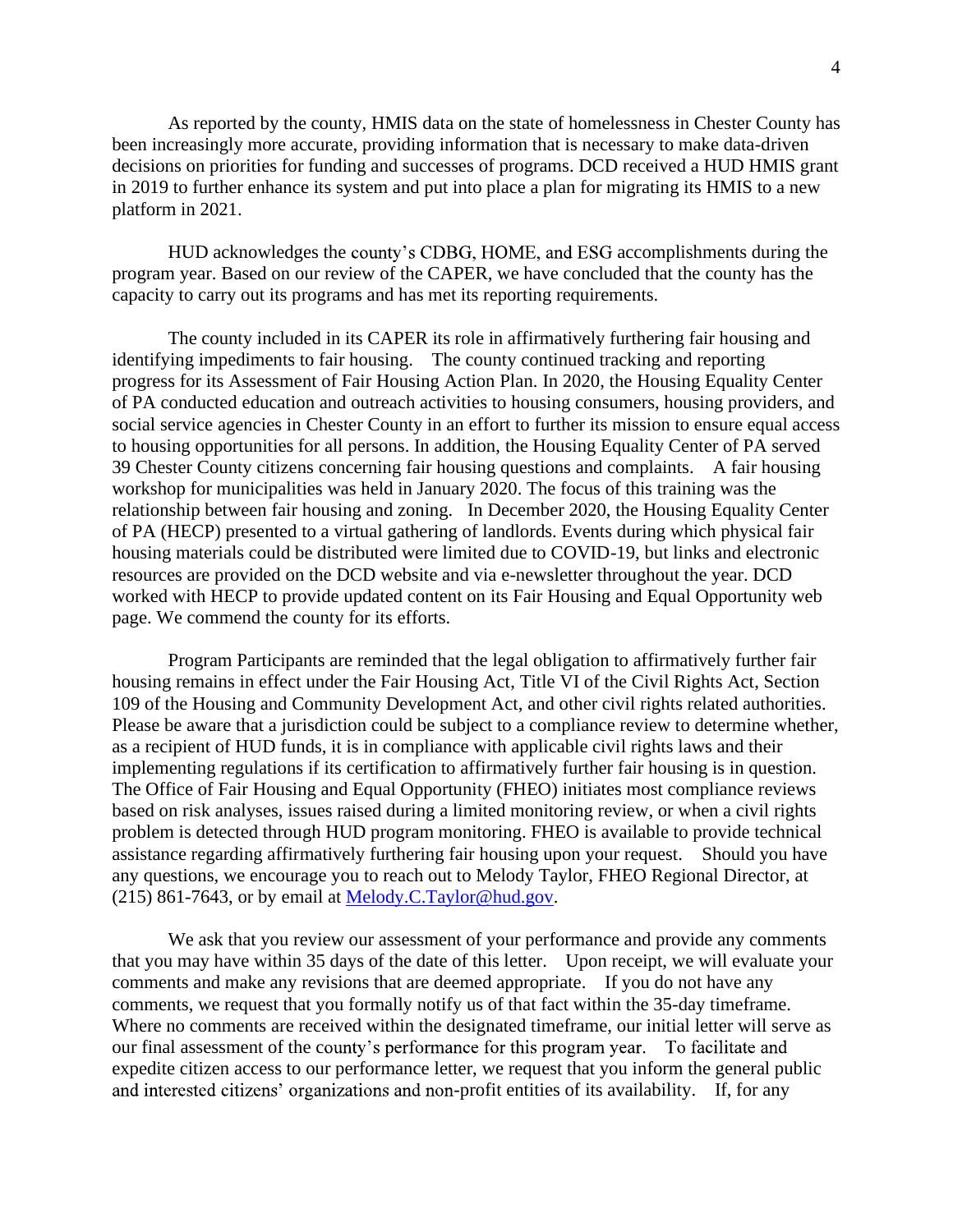As reported by the county, HMIS data on the state of homelessness in Chester County has been increasingly more accurate, providing information that is necessary to make data-driven decisions on priorities for funding and successes of programs. DCD received a HUD HMIS grant in 2019 to further enhance its system and put into place a plan for migrating its HMIS to a new platform in 2021.

HUD acknowledges the county's CDBG, HOME, and ESG accomplishments during the program year. Based on our review of the CAPER, we have concluded that the county has the capacity to carry out its programs and has met its reporting requirements.

The county included in its CAPER its role in affirmatively furthering fair housing and identifying impediments to fair housing. The county continued tracking and reporting progress for its Assessment of Fair Housing Action Plan. In 2020, the Housing Equality Center of PA conducted education and outreach activities to housing consumers, housing providers, and social service agencies in Chester County in an effort to further its mission to ensure equal access to housing opportunities for all persons. In addition, the Housing Equality Center of PA served 39 Chester County citizens concerning fair housing questions and complaints. A fair housing workshop for municipalities was held in January 2020. The focus of this training was the relationship between fair housing and zoning. In December 2020, the Housing Equality Center of PA (HECP) presented to a virtual gathering of landlords. Events during which physical fair housing materials could be distributed were limited due to COVID-19, but links and electronic resources are provided on the DCD website and via e-newsletter throughout the year. DCD worked with HECP to provide updated content on its Fair Housing and Equal Opportunity web page. We commend the county for its efforts.

Program Participants are reminded that the legal obligation to affirmatively further fair housing remains in effect under the Fair Housing Act, Title VI of the Civil Rights Act, Section 109 of the Housing and Community Development Act, and other civil rights related authorities. Please be aware that a jurisdiction could be subject to a compliance review to determine whether, as a recipient of HUD funds, it is in compliance with applicable civil rights laws and their implementing regulations if its certification to affirmatively further fair housing is in question. The Office of Fair Housing and Equal Opportunity (FHEO) initiates most compliance reviews based on risk analyses, issues raised during a limited monitoring review, or when a civil rights problem is detected through HUD program monitoring. FHEO is available to provide technical assistance regarding affirmatively furthering fair housing upon your request. Should you have any questions, we encourage you to reach out to Melody Taylor, FHEO Regional Director, at (215) 861-7643, or by email at Melody.C.Taylor@hud.gov.

We ask that you review our assessment of your performance and provide any comments that you may have within 35 days of the date of this letter. Upon receipt, we will evaluate your comments and make any revisions that are deemed appropriate. If you do not have any comments, we request that you formally notify us of that fact within the 35-day timeframe. Where no comments are received within the designated timeframe, our initial letter will serve as our final assessment of the county's performance for this program year. To facilitate and expedite citizen access to our performance letter, we request that you inform the general public and interested citizens' organizations and non-profit entities of its availability. If, for any